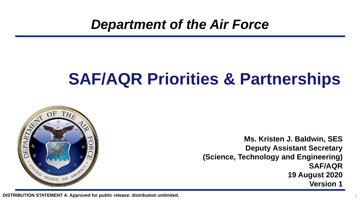*Department of the Air Force*

# **SAF/AQR Priorities & Partnerships**



**Ms. Kristen J. Baldwin, SES Deputy Assistant Secretary (Science, Technology and Engineering) SAF/AQR 19 August 2020 Version 1**

1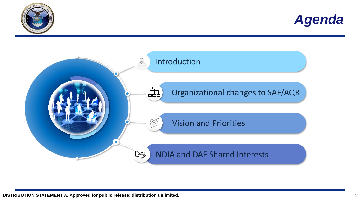



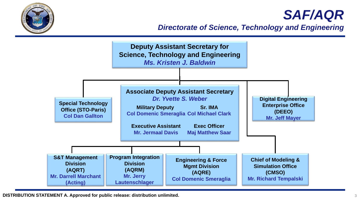

#### *SAF/AQR*

*Directorate of Science, Technology and Engineering*

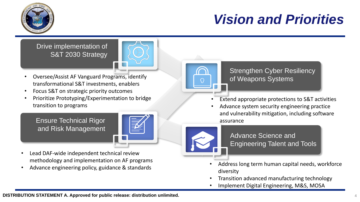

### *Vision and Priorities*

Drive implementation of S&T 2030 Strategy



- Oversee/Assist AF Vanguard Programs, identify transformational S&T investments, enablers
- Focus S&T on strategic priority outcomes
- Prioritize Prototyping/Experimentation to bridge transition to programs

Ensure Technical Rigor and Risk Management



- Lead DAF-wide independent technical review methodology and implementation on AF programs
- Advance engineering policy, guidance & standards



Strengthen Cyber Resiliency of Weapons Systems

- Extend appropriate protections to S&T activities
- Advance system security engineering practice and vulnerability mitigation, including software assurance



Advance Science and Engineering Talent and Tools

- Address long term human capital needs, workforce diversity
- Transition advanced manufacturing technology
- Implement Digital Engineering, M&S, MOSA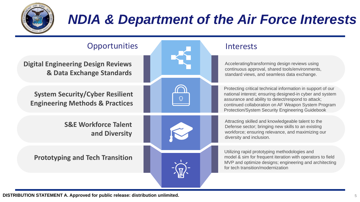

## *NDIA & Department of the Air Force Interests*